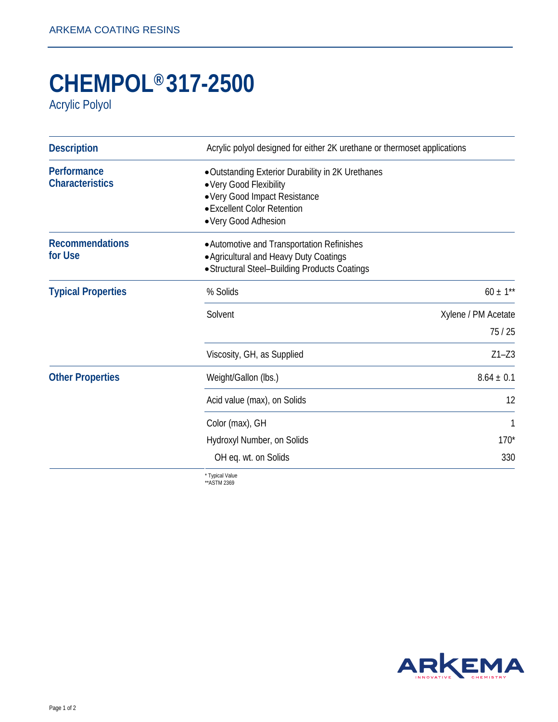## **CHEMPOL® 317-2500**

Acrylic Polyol

| <b>Description</b>                    | Acrylic polyol designed for either 2K urethane or thermoset applications                                                                                             |                     |
|---------------------------------------|----------------------------------------------------------------------------------------------------------------------------------------------------------------------|---------------------|
| Performance<br><b>Characteristics</b> | • Outstanding Exterior Durability in 2K Urethanes<br>• Very Good Flexibility<br>• Very Good Impact Resistance<br>• Excellent Color Retention<br>• Very Good Adhesion |                     |
| <b>Recommendations</b><br>for Use     | • Automotive and Transportation Refinishes<br>• Agricultural and Heavy Duty Coatings<br>· Structural Steel-Building Products Coatings                                |                     |
| <b>Typical Properties</b>             | % Solids                                                                                                                                                             | $60 \pm 1**$        |
|                                       | Solvent                                                                                                                                                              | Xylene / PM Acetate |
|                                       |                                                                                                                                                                      | 75/25               |
|                                       | Viscosity, GH, as Supplied                                                                                                                                           | $Z1 - Z3$           |
| <b>Other Properties</b>               | Weight/Gallon (lbs.)                                                                                                                                                 | $8.64 \pm 0.1$      |
|                                       | Acid value (max), on Solids                                                                                                                                          | 12                  |
|                                       | Color (max), GH                                                                                                                                                      | 1                   |
|                                       | Hydroxyl Number, on Solids                                                                                                                                           | $170*$              |
|                                       | OH eq. wt. on Solids                                                                                                                                                 | 330                 |
|                                       | * Typical Value                                                                                                                                                      |                     |

\*\*ASTM 2369